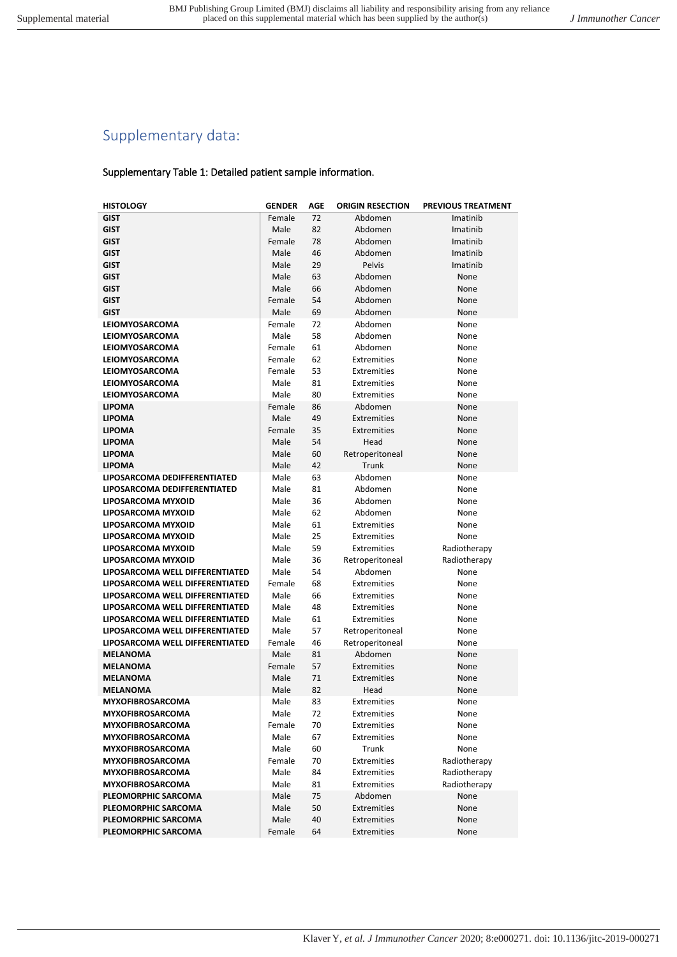# Supplementary data:

## Supplementary Table 1: Detailed patient sample information.

| <b>HISTOLOGY</b>                                                   | <b>GENDER</b>  | AGE      | <b>ORIGIN RESECTION</b> | <b>PREVIOUS TREATMENT</b> |
|--------------------------------------------------------------------|----------------|----------|-------------------------|---------------------------|
| <b>GIST</b>                                                        | Female         | 72       | Abdomen                 | Imatinib                  |
| <b>GIST</b>                                                        | Male           | 82       | Abdomen                 | Imatinib                  |
| <b>GIST</b>                                                        | Female         | 78       | Abdomen                 | Imatinib                  |
| <b>GIST</b>                                                        | Male           | 46       | Abdomen                 | Imatinib                  |
| <b>GIST</b>                                                        | Male           | 29       | Pelvis                  | Imatinib                  |
| <b>GIST</b>                                                        | Male           | 63       | Abdomen                 | None                      |
| <b>GIST</b>                                                        | Male           | 66       | Abdomen                 | None                      |
| <b>GIST</b>                                                        | Female         | 54       | Abdomen                 | None                      |
| <b>GIST</b>                                                        | Male           | 69       | Abdomen                 | None                      |
| <b>LEIOMYOSARCOMA</b>                                              | Female         | 72       | Abdomen                 | None                      |
| <b>LEIOMYOSARCOMA</b>                                              | Male           | 58       | Abdomen                 | None                      |
| LEIOMYOSARCOMA                                                     | Female         | 61       | Abdomen                 | None                      |
| LEIOMYOSARCOMA                                                     | Female         | 62       | Extremities             | None                      |
| LEIOMYOSARCOMA                                                     | Female         | 53       | Extremities             | None                      |
| LEIOMYOSARCOMA                                                     | Male           | 81       | Extremities             | None                      |
| LEIOMYOSARCOMA                                                     | Male           | 80       | Extremities             | None                      |
| <b>LIPOMA</b>                                                      | Female         | 86       | Abdomen                 | None                      |
| <b>LIPOMA</b>                                                      | Male           | 49       | Extremities             | None                      |
| <b>LIPOMA</b>                                                      | Female         | 35       | Extremities             | None                      |
| <b>LIPOMA</b>                                                      | Male           | 54       | Head                    | None                      |
| <b>LIPOMA</b>                                                      | Male           | 60       | Retroperitoneal         | None                      |
| <b>LIPOMA</b>                                                      | Male           | 42       | Trunk                   | None                      |
| LIPOSARCOMA DEDIFFERENTIATED                                       | Male           | 63       | Abdomen                 | None                      |
| LIPOSARCOMA DEDIFFERENTIATED                                       | Male           | 81       | Abdomen                 | None                      |
| LIPOSARCOMA MYXOID                                                 | Male           | 36       | Abdomen                 | None                      |
| LIPOSARCOMA MYXOID                                                 | Male           | 62       | Abdomen                 | None                      |
| LIPOSARCOMA MYXOID                                                 | Male           | 61       | Extremities             | None                      |
| LIPOSARCOMA MYXOID                                                 | Male           | 25       | Extremities             | None                      |
| LIPOSARCOMA MYXOID                                                 | Male           | 59       | Extremities             | Radiotherapy              |
| LIPOSARCOMA MYXOID                                                 | Male           | 36       | Retroperitoneal         | Radiotherapy              |
| LIPOSARCOMA WELL DIFFERENTIATED                                    | Male<br>Female | 54       | Abdomen<br>Extremities  | None                      |
| LIPOSARCOMA WELL DIFFERENTIATED<br>LIPOSARCOMA WELL DIFFERENTIATED | Male           | 68<br>66 | Extremities             | None<br>None              |
| LIPOSARCOMA WELL DIFFERENTIATED                                    | Male           | 48       | Extremities             | None                      |
| LIPOSARCOMA WELL DIFFERENTIATED                                    | Male           | 61       | Extremities             | None                      |
| LIPOSARCOMA WELL DIFFERENTIATED                                    | Male           | 57       | Retroperitoneal         | None                      |
| LIPOSARCOMA WELL DIFFERENTIATED                                    | Female         | 46       | Retroperitoneal         | None                      |
| <b>MELANOMA</b>                                                    | Male           | 81       | Abdomen                 | None                      |
| <b>MELANOMA</b>                                                    | Female         | 57       | Extremities             | None                      |
| <b>MELANOMA</b>                                                    | Male           | 71       | Extremities             | None                      |
| <b>MELANOMA</b>                                                    | Male           | 82       | Head                    | None                      |
| <b>MYXOFIBROSARCOMA</b>                                            | Male           | 83       | Extremities             | None                      |
| <b>MYXOFIBROSARCOMA</b>                                            | Male           | 72       | Extremities             | None                      |
| <b>MYXOFIBROSARCOMA</b>                                            | Female         | 70       | Extremities             | None                      |
| <b>MYXOFIBROSARCOMA</b>                                            | Male           | 67       | <b>Extremities</b>      | None                      |
| <b>MYXOFIBROSARCOMA</b>                                            | Male           | 60       | Trunk                   | None                      |
| <b>MYXOFIBROSARCOMA</b>                                            | Female         | 70       | Extremities             | Radiotherapy              |
| <b>MYXOFIBROSARCOMA</b>                                            | Male           | 84       | Extremities             | Radiotherapy              |
| <b>MYXOFIBROSARCOMA</b>                                            | Male           | 81       | Extremities             | Radiotherapy              |
| PLEOMORPHIC SARCOMA                                                | Male           | 75       | Abdomen                 | None                      |
| PLEOMORPHIC SARCOMA                                                | Male           | 50       | <b>Extremities</b>      | None                      |
| PLEOMORPHIC SARCOMA                                                | Male           | 40       | Extremities             | None                      |
| PLEOMORPHIC SARCOMA                                                | Female         | 64       | Extremities             | None                      |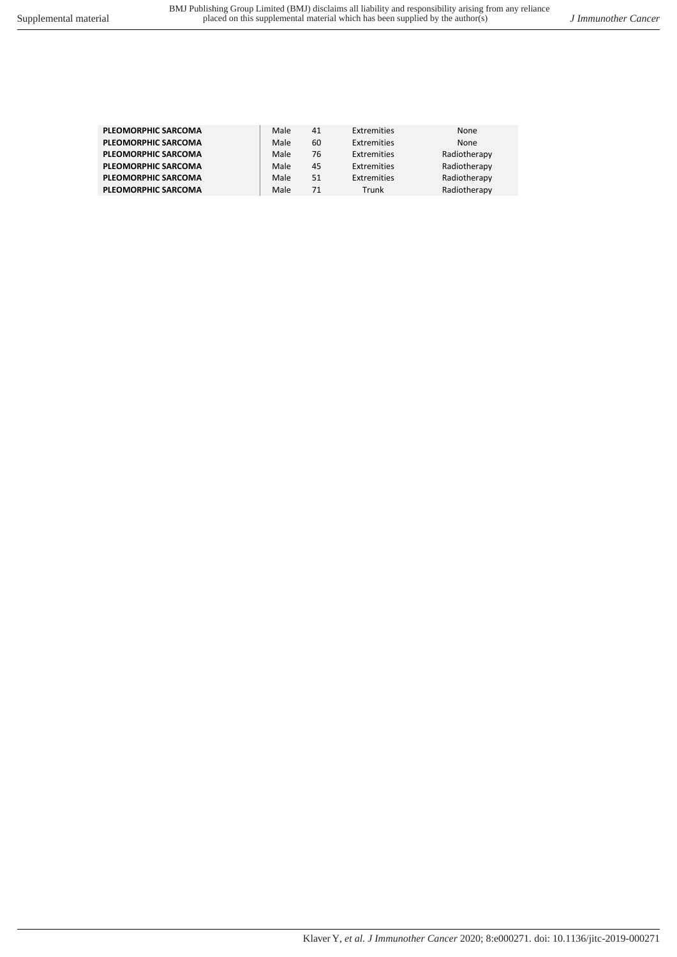| <b>PLEOMORPHIC SARCOMA</b> | Male | 41 | Extremities | None         |
|----------------------------|------|----|-------------|--------------|
| <b>PLEOMORPHIC SARCOMA</b> | Male | 60 | Extremities | None         |
| <b>PLEOMORPHIC SARCOMA</b> | Male | 76 | Extremities | Radiotherapy |
| <b>PLEOMORPHIC SARCOMA</b> | Male | 45 | Extremities | Radiotherapy |
| <b>PLEOMORPHIC SARCOMA</b> | Male | 51 | Extremities | Radiotherapy |
| <b>PLEOMORPHIC SARCOMA</b> | Male | 71 | Trunk       | Radiotherapy |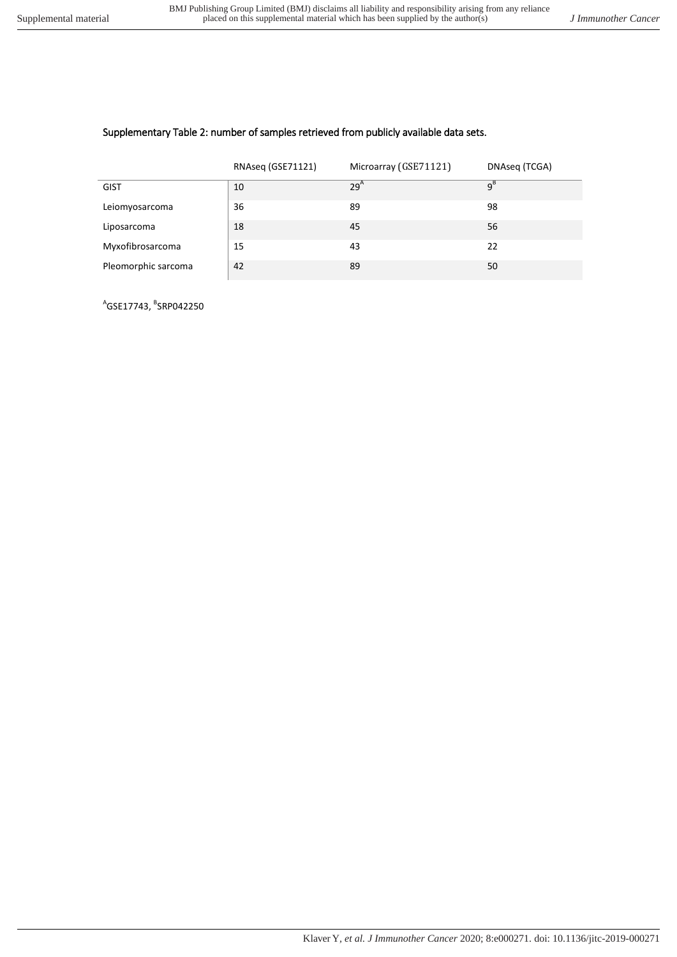## Supplementary Table 2: number of samples retrieved from publicly available data sets.

|                     | RNAseq (GSE71121) | Microarray (GSE71121) | DNAseq (TCGA) |
|---------------------|-------------------|-----------------------|---------------|
| <b>GIST</b>         | 10                | 29 <sup>A</sup>       | $q^B$         |
| Leiomyosarcoma      | 36                | 89                    | 98            |
| Liposarcoma         | 18                | 45                    | 56            |
| Myxofibrosarcoma    | 15                | 43                    | 22            |
| Pleomorphic sarcoma | 42                | 89                    | 50            |

<sup>A</sup>GSE17743, <sup>B</sup>SRP042250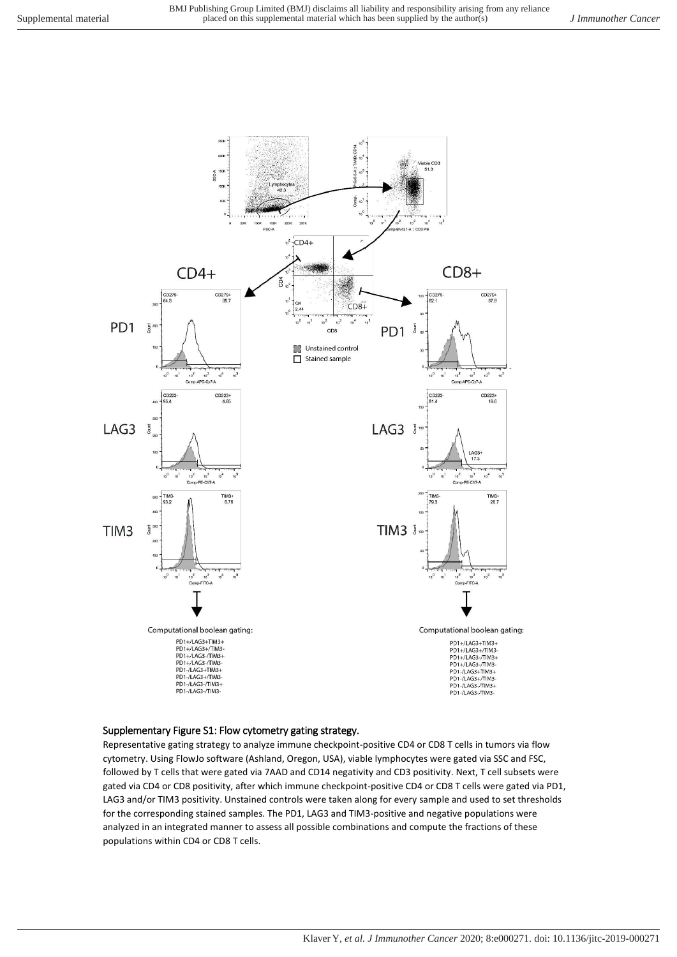

### Supplementary Figure S1: Flow cytometry gating strategy.

Representative gating strategy to analyze immune checkpoint-positive CD4 or CD8 T cells in tumors via flow cytometry. Using FlowJo software (Ashland, Oregon, USA), viable lymphocytes were gated via SSC and FSC, followed by T cells that were gated via 7AAD and CD14 negativity and CD3 positivity. Next, T cell subsets were gated via CD4 or CD8 positivity, after which immune checkpoint-positive CD4 or CD8 T cells were gated via PD1, LAG3 and/or TIM3 positivity. Unstained controls were taken along for every sample and used to set thresholds for the corresponding stained samples. The PD1, LAG3 and TIM3-positive and negative populations were analyzed in an integrated manner to assess all possible combinations and compute the fractions of these populations within CD4 or CD8 T cells.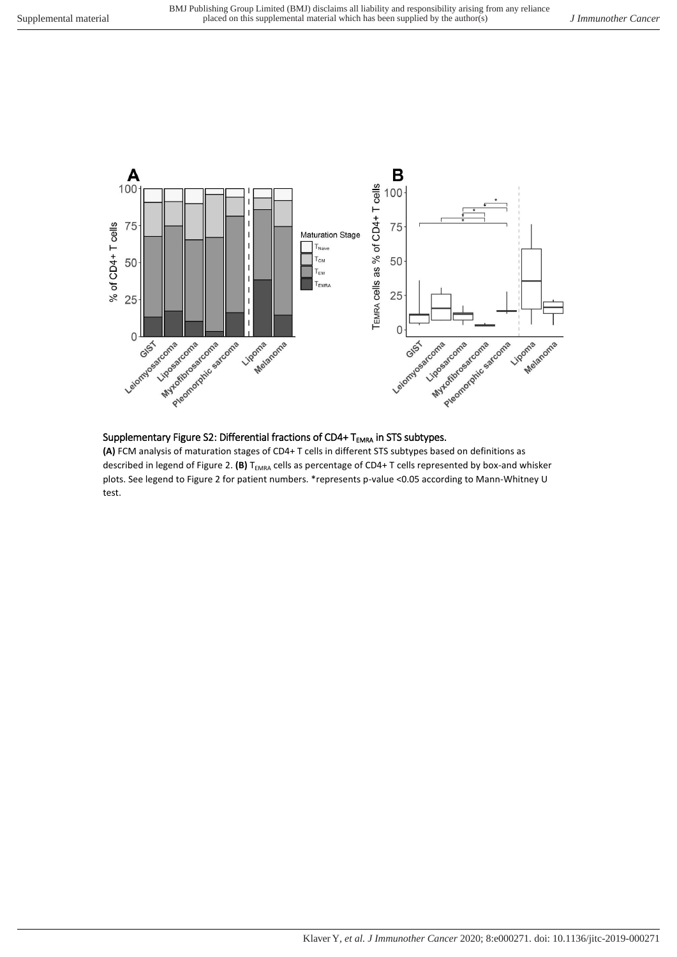

## Supplementary Figure S2: Differential fractions of CD4+  $T_{EMRA}$  in STS subtypes.

**(A)** FCM analysis of maturation stages of CD4+ T cells in different STS subtypes based on definitions as described in legend of Figure 2. (B) T<sub>EMRA</sub> cells as percentage of CD4+ T cells represented by box-and whisker plots. See legend to Figure 2 for patient numbers. \*represents p-value <0.05 according to Mann-Whitney U test.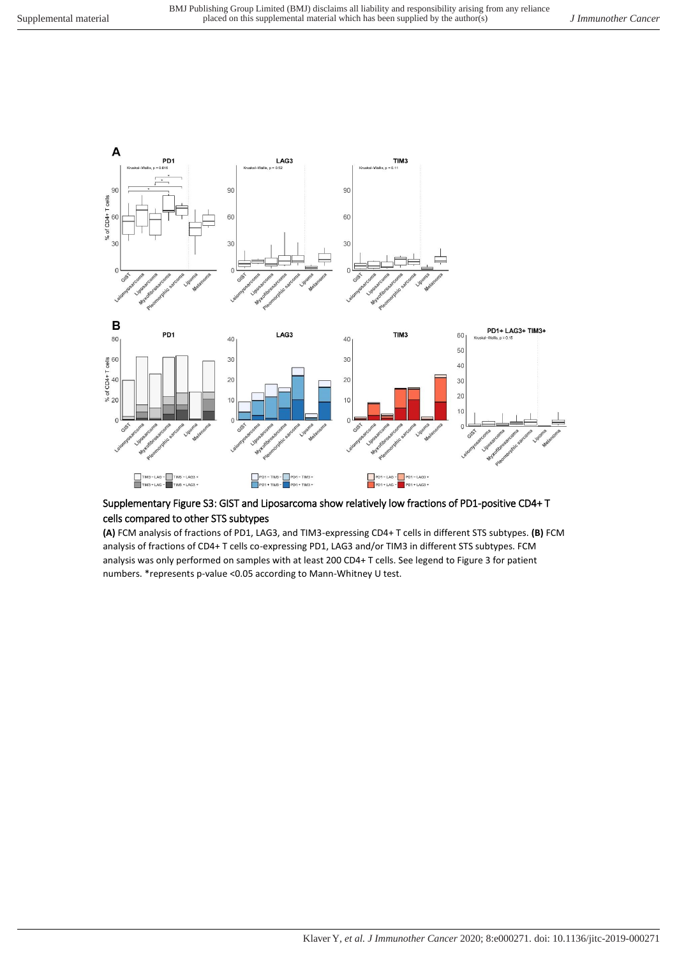

## Supplementary Figure S3: GIST and Liposarcoma show relatively low fractions of PD1-positive CD4+ T cells compared to other STS subtypes

**(A)** FCM analysis of fractions of PD1, LAG3, and TIM3-expressing CD4+ T cells in different STS subtypes. **(B)** FCM analysis of fractions of CD4+ T cells co-expressing PD1, LAG3 and/or TIM3 in different STS subtypes. FCM analysis was only performed on samples with at least 200 CD4+ T cells. See legend to Figure 3 for patient numbers. \*represents p-value <0.05 according to Mann-Whitney U test.